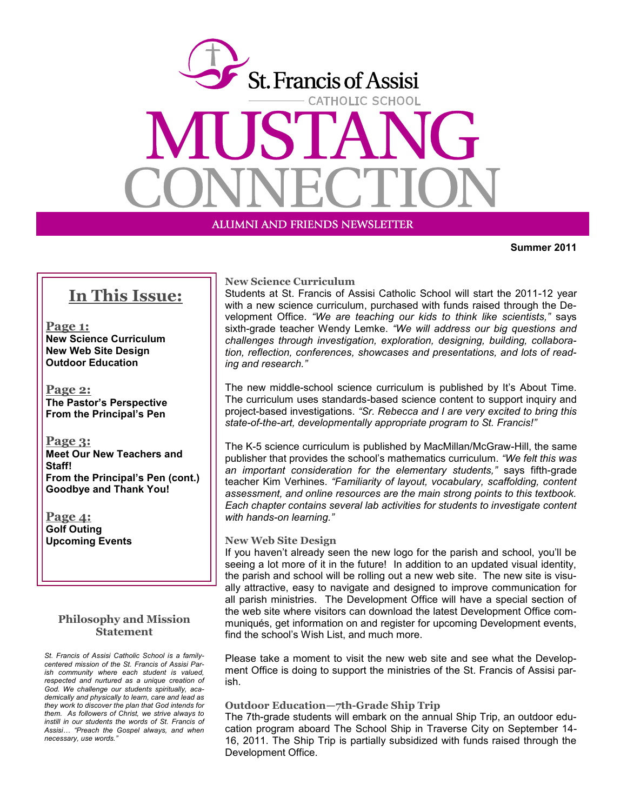

ALUMNI AND FRIENDS NEWSLETTER

**Summer 2011**

# **In This Issue:**

**Page 1: New Science Curriculum New Web Site Design Outdoor Education**

**Page 2: The Pastor's Perspective From the Principal's Pen**

**Page 3: Meet Our New Teachers and Staff! From the Principal's Pen (cont.) Goodbye and Thank You!**

**Page 4: Golf Outing Upcoming Events**

### **Philosophy and Mission Statement**

*St. Francis of Assisi Catholic School is a familycentered mission of the St. Francis of Assisi Parish community where each student is valued, respected and nurtured as a unique creation of God. We challenge our students spiritually, academically and physically to learn, care and lead as they work to discover the plan that God intends for them. As followers of Christ, we strive always to instill in our students the words of St. Francis of Assisi… "Preach the Gospel always, and when necessary, use words."*

### **New Science Curriculum**

Students at St. Francis of Assisi Catholic School will start the 2011-12 year with a new science curriculum, purchased with funds raised through the Development Office. *"We are teaching our kids to think like scientists,"* says sixth-grade teacher Wendy Lemke. *"We will address our big questions and challenges through investigation, exploration, designing, building, collaboration, reflection, conferences, showcases and presentations, and lots of reading and research."* 

The new middle-school science curriculum is published by It's About Time. The curriculum uses standards-based science content to support inquiry and project-based investigations. *"Sr. Rebecca and I are very excited to bring this state-of-the-art, developmentally appropriate program to St. Francis!"*

The K-5 science curriculum is published by MacMillan/McGraw-Hill, the same publisher that provides the school's mathematics curriculum. *"We felt this was an important consideration for the elementary students,"* says fifth-grade teacher Kim Verhines. *"Familiarity of layout, vocabulary, scaffolding, content assessment, and online resources are the main strong points to this textbook. Each chapter contains several lab activities for students to investigate content with hands-on learning."*

### **New Web Site Design**

If you haven't already seen the new logo for the parish and school, you'll be seeing a lot more of it in the future! In addition to an updated visual identity, the parish and school will be rolling out a new web site. The new site is visually attractive, easy to navigate and designed to improve communication for all parish ministries. The Development Office will have a special section of the web site where visitors can download the latest Development Office communiqués, get information on and register for upcoming Development events, find the school's Wish List, and much more.

Please take a moment to visit the new web site and see what the Development Office is doing to support the ministries of the St. Francis of Assisi parish.

#### **Outdoor Education—7th-Grade Ship Trip**

The 7th-grade students will embark on the annual Ship Trip, an outdoor education program aboard The School Ship in Traverse City on September 14- 16, 2011. The Ship Trip is partially subsidized with funds raised through the Development Office.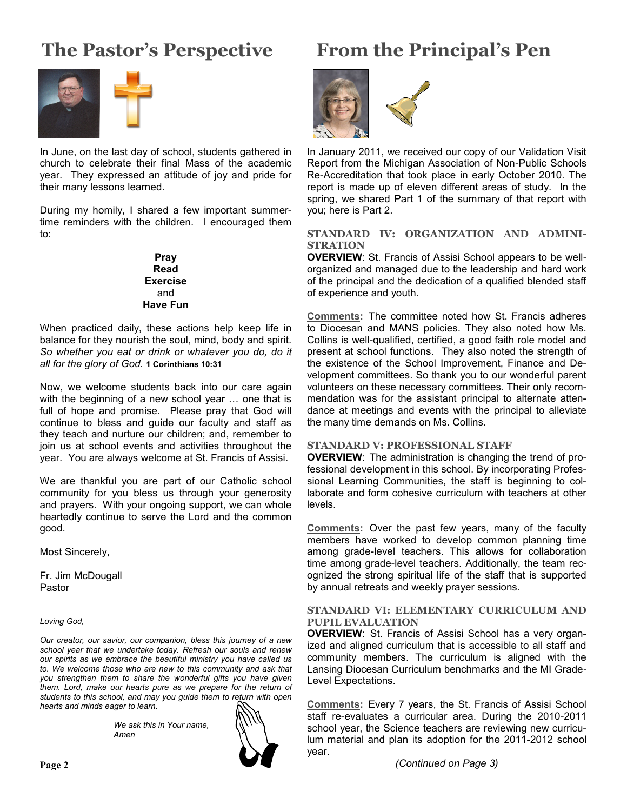# **The Pastor's Perspective**



In June, on the last day of school, students gathered in church to celebrate their final Mass of the academic year. They expressed an attitude of joy and pride for their many lessons learned.

During my homily, I shared a few important summertime reminders with the children. I encouraged them to:

> **Pray Read Exercise** and **Have Fun**

When practiced daily, these actions help keep life in balance for they nourish the soul, mind, body and spirit. *So whether you eat or drink or whatever you do, do it all for the glory of God.* **1 Corinthians 10:31**

Now, we welcome students back into our care again with the beginning of a new school year … one that is full of hope and promise. Please pray that God will continue to bless and guide our faculty and staff as they teach and nurture our children; and, remember to join us at school events and activities throughout the year. You are always welcome at St. Francis of Assisi.

We are thankful you are part of our Catholic school community for you bless us through your generosity and prayers. With your ongoing support, we can whole heartedly continue to serve the Lord and the common good.

Most Sincerely,

Fr. Jim McDougall Pastor

*Loving God,*

*Our creator, our savior, our companion, bless this journey of a new school year that we undertake today. Refresh our souls and renew our spirits as we embrace the beautiful ministry you have called us to. We welcome those who are new to this community and ask that you strengthen them to share the wonderful gifts you have given them. Lord, make our hearts pure as we prepare for the return of students to this school, and may you guide them to return with open hearts and minds eager to learn.*

> *We ask this in Your name, Amen*



# **From the Principal's Pen**



In January 2011, we received our copy of our Validation Visit Report from the Michigan Association of Non-Public Schools Re-Accreditation that took place in early October 2010. The report is made up of eleven different areas of study. In the spring, we shared Part 1 of the summary of that report with you; here is Part 2.

### **STANDARD IV: ORGANIZATION AND ADMINI-STRATION**

**OVERVIEW**: St. Francis of Assisi School appears to be wellorganized and managed due to the leadership and hard work of the principal and the dedication of a qualified blended staff of experience and youth.

**Comments:** The committee noted how St. Francis adheres to Diocesan and MANS policies. They also noted how Ms. Collins is well-qualified, certified, a good faith role model and present at school functions. They also noted the strength of the existence of the School Improvement, Finance and Development committees. So thank you to our wonderful parent volunteers on these necessary committees. Their only recommendation was for the assistant principal to alternate attendance at meetings and events with the principal to alleviate the many time demands on Ms. Collins.

### **STANDARD V: PROFESSIONAL STAFF**

**OVERVIEW**: The administration is changing the trend of professional development in this school. By incorporating Professional Learning Communities, the staff is beginning to collaborate and form cohesive curriculum with teachers at other levels.

**Comments:** Over the past few years, many of the faculty members have worked to develop common planning time among grade-level teachers. This allows for collaboration time among grade-level teachers. Additionally, the team recognized the strong spiritual life of the staff that is supported by annual retreats and weekly prayer sessions.

### **STANDARD VI: ELEMENTARY CURRICULUM AND PUPIL EVALUATION**

**OVERVIEW**: St. Francis of Assisi School has a very organized and aligned curriculum that is accessible to all staff and community members. The curriculum is aligned with the Lansing Diocesan Curriculum benchmarks and the MI Grade-Level Expectations.

**Comments:** Every 7 years, the St. Francis of Assisi School staff re-evaluates a curricular area. During the 2010-2011 school year, the Science teachers are reviewing new curriculum material and plan its adoption for the 2011-2012 school year.

*(Continued on Page 3)*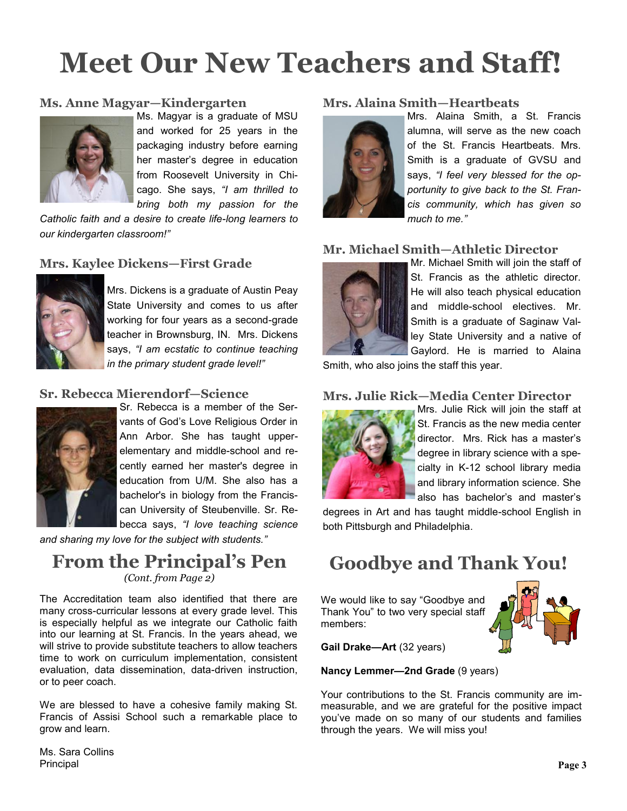# **Meet Our New Teachers and Staff!**

## **Ms. Anne Magyar—Kindergarten**



Ms. Magyar is a graduate of MSU and worked for 25 years in the packaging industry before earning her master's degree in education from Roosevelt University in Chicago. She says, *"I am thrilled to bring both my passion for the* 

*Catholic faith and a desire to create life-long learners to our kindergarten classroom!"*

## **Mrs. Kaylee Dickens—First Grade**



Mrs. Dickens is a graduate of Austin Peay State University and comes to us after working for four years as a second-grade teacher in Brownsburg, IN. Mrs. Dickens says, *"I am ecstatic to continue teaching in the primary student grade level!"*

## **Sr. Rebecca Mierendorf—Science**



Sr. Rebecca is a member of the Servants of God's Love Religious Order in Ann Arbor. She has taught upperelementary and middle-school and recently earned her master's degree in education from U/M. She also has a bachelor's in biology from the Franciscan University of Steubenville. Sr. Rebecca says, *"I love teaching science* 

*and sharing my love for the subject with students."*

# **From the Principal's Pen** *(Cont. from Page 2)*

The Accreditation team also identified that there are many cross-curricular lessons at every grade level. This is especially helpful as we integrate our Catholic faith into our learning at St. Francis. In the years ahead, we will strive to provide substitute teachers to allow teachers time to work on curriculum implementation, consistent evaluation, data dissemination, data-driven instruction, or to peer coach.

We are blessed to have a cohesive family making St. Francis of Assisi School such a remarkable place to grow and learn.

### **Mrs. Alaina Smith—Heartbeats**



Mrs. Alaina Smith, a St. Francis alumna, will serve as the new coach of the St. Francis Heartbeats. Mrs. Smith is a graduate of GVSU and says, *"I feel very blessed for the opportunity to give back to the St. Francis community, which has given so much to me."*

### **Mr. Michael Smith—Athletic Director**



Mr. Michael Smith will join the staff of St. Francis as the athletic director. He will also teach physical education and middle-school electives. Mr. Smith is a graduate of Saginaw Valley State University and a native of Gaylord. He is married to Alaina

Smith, who also joins the staff this year.

## **Mrs. Julie Rick—Media Center Director**



Mrs. Julie Rick will join the staff at St. Francis as the new media center director. Mrs. Rick has a master's degree in library science with a specialty in K-12 school library media and library information science. She also has bachelor's and master's

degrees in Art and has taught middle-school English in both Pittsburgh and Philadelphia.

# **Goodbye and Thank You!**

We would like to say "Goodbye and Thank You" to two very special staff members:



**Gail Drake—Art** (32 years)

**Nancy Lemmer—2nd Grade** (9 years)

Your contributions to the St. Francis community are immeasurable, and we are grateful for the positive impact you've made on so many of our students and families through the years. We will miss you!

Ms. Sara Collins Principal